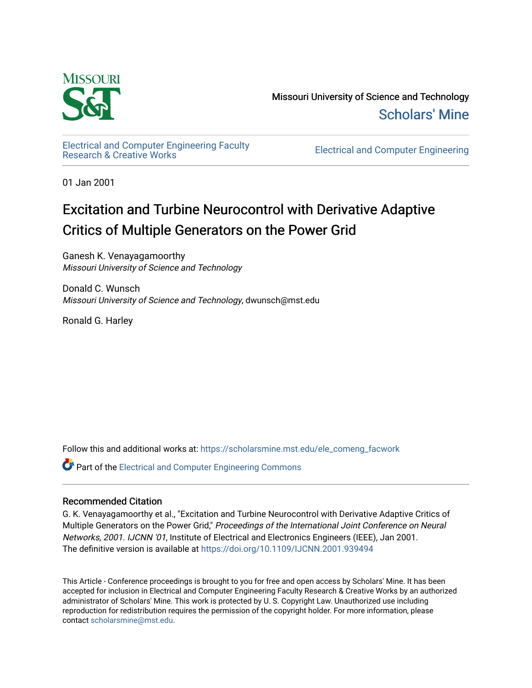

Missouri University of Science and Technology [Scholars' Mine](https://scholarsmine.mst.edu/) 

[Electrical and Computer Engineering Faculty](https://scholarsmine.mst.edu/ele_comeng_facwork)

**Electrical and Computer Engineering** 

01 Jan 2001

# Excitation and Turbine Neurocontrol with Derivative Adaptive Critics of Multiple Generators on the Power Grid

Ganesh K. Venayagamoorthy Missouri University of Science and Technology

Donald C. Wunsch Missouri University of Science and Technology, dwunsch@mst.edu

Ronald G. Harley

Follow this and additional works at: [https://scholarsmine.mst.edu/ele\\_comeng\\_facwork](https://scholarsmine.mst.edu/ele_comeng_facwork?utm_source=scholarsmine.mst.edu%2Fele_comeng_facwork%2F1609&utm_medium=PDF&utm_campaign=PDFCoverPages)

**C** Part of the Electrical and Computer Engineering Commons

# Recommended Citation

G. K. Venayagamoorthy et al., "Excitation and Turbine Neurocontrol with Derivative Adaptive Critics of Multiple Generators on the Power Grid," Proceedings of the International Joint Conference on Neural Networks, 2001. IJCNN '01, Institute of Electrical and Electronics Engineers (IEEE), Jan 2001. The definitive version is available at <https://doi.org/10.1109/IJCNN.2001.939494>

This Article - Conference proceedings is brought to you for free and open access by Scholars' Mine. It has been accepted for inclusion in Electrical and Computer Engineering Faculty Research & Creative Works by an authorized administrator of Scholars' Mine. This work is protected by U. S. Copyright Law. Unauthorized use including reproduction for redistribution requires the permission of the copyright holder. For more information, please contact [scholarsmine@mst.edu](mailto:scholarsmine@mst.edu).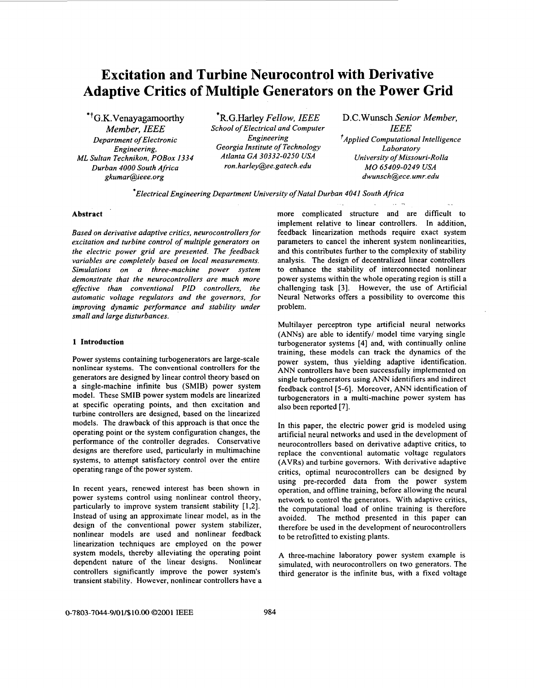# **Excitation and Turbine Neurocontrol with Derivative Adaptive Critics of Multiple Generators on the Power Grid**

\*tG.K.Venayagamoorthy \*R.G.Harley *Fellow, IEEE* D.C.Wunsch *Senior Member, Durban 4000 South Africa ron[. harley@ee.gatech.edu](mailto:harley@ee.gatech.edu) MO 65409-0249 USA gkumar@ieee. org dwunsch@ece. [umr-.edu](http://umr-.edu)* 

*Member, IEEE School of Electrical and Computer <i>IEEE*<br> *IEEE <i>IApplied Computation Engineering,* Georgia Institute of Technology *Laboratory Laboratory*<br> *Technikon. POBox 1334 Atlanta GA 30332-0250 USA University of Missouri-Rolla ML Sultan Technikon, POBox 1334 Atlanta GA 30332-0250 USA University of Missouri-Rolla by a top differences atlanta CA 30332-0250 USA University of Missouri-Rolla ron.harley@ee.gatech.edu MO 65409-0249 USA* 

*Department of Electronic Engineering 'Applied Computational Intelligence* 

. ...

*\*Electrical Engineering Department University of Natal Durban 4041 South Africa* 

#### **Abstract**

*Based on derivative adaptive critics, neurocontrollers for excitation and turbine control of multiple generators on the electric power grid are presented. The feedback variables are completely based on local measurements. Simulations on a three-machine power system demonstrate that the neurocontrollers are much more effective than conventional PID controllers, the automatic voltage regulators and the governors, for improving dynamic performance and stability under small and large disturbances.* 

#### **1 Introduction**

Power systems containing turbogenerators are large-scale nonlinear systems. The conventional controllers for the generators are designed by linear control theory based on a single-machine infinite bus (SMIB) power system model. These SMIB power system models are linearized at specific operating points, and then excitation and turbine controllers are designed, based on the linearized models. The drawback of this approach is that once the operating point or the system configuration changes, the performance of the controller degrades. Conservative designs are therefore used, particularly in multimachine systems, to attempt satisfactory control over the entire operating range of the power system.

In recent years, renewed interest has been shown in power systems control using nonlinear control theory, particularly to improve system transient stability [1,2]. Instead of using an approximate linear model, as in the design of the conventional power system stabilizer, nonlinear models are used and nonlinear feedback linearization techniques are employed on the power system models, thereby alleviating the operating point dependent nature of the linear designs. Nonlinear controllers significantly improve the power system's transient stability. However, nonlinear controllers have **a**  more complicated structure and are difficult to implement relative to linear controllers. In addition, feedback linearization methods require exact system parameters to cancel the inherent system nonlinearities, and this contributes further to the complexity of stability analysis. The design of decentralized linear controllers to enhance the stability of interconnected nonlinear power systems within the whole operating region is still a challenging task [3]. However, the use of Artificial Neural Networks offers a possibility to overcome this problem.

Multilayer perceptron type artificial neural networks **(ANNs)** are able to identify/ model time varying single turbogenerator systems [4] and, with continually online training, these models can track the dynamics of the power system, thus yielding adaptive identification. **ANN** controllers have been successfully implemented on single turbogenerators using **ANN** identifiers and indirect feedback control **[5-61.** Moreover, **ANN** identification of turbogenerators in a multi-machine power system has also been reported [7].

In this paper, the electric power grid is modeled using artificial neural networks and used in the development of neurocontrollers based on derivative adaptive critics, to replace the conventional automatic voltage regulators **(AVRs)** and turbine governors. With derivative adaptive critics, optimal neurocontrollers can be designed by using pre-recorded data from the power system operation, and offline training, before allowing the neural network to control the generators. With adaptive critics, the computational load of online training is therefore avoided. The method presented in this paper can therefore be used in the development of neurocontrollers to be retrofitted to existing plants.

A three-machine laboratory power system example is simulated, with neurocontrollers on two generators. The third generator is the infinite bus, with a fixed voltage

0-7803-7044-9/01/\$10.00 02001 **IEEE** 984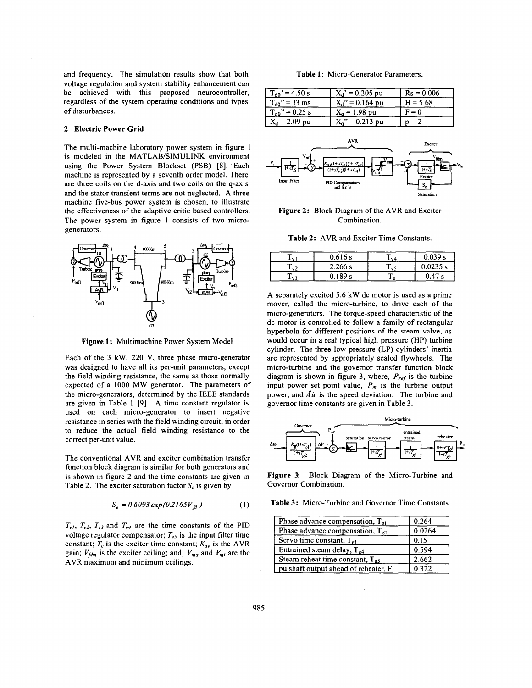and frequency. The simulation results show that both voltage regulation and system stability enhancement can be achieved with this proposed neurocontroller, regardless of the system operating conditions and types of disturbances.

#### *X,* = **2.09** pu **2 Electric Power Grid**

The multi-machine laboratory power system in figure **1**  is modeled in the MATLAB/SIMULINK environment using the Power System Blockset (PSB) **[SI.** 'Each machine is represented by a seventh order model. There are three coils on the d-axis and two coils on the q-axis and the stator transient terms are not neglected. A three machine five-bus power system is chosen, to illustrate the effectiveness of the adaptive critic based controllers. The power system in figure **1** consists of two microgenerators.



**Figure 1:** Multimachine Power System Model

Each **of** the **3** kW, **220** V, three phase micro-generator was designed to have all its per-unit parameters, except the field winding resistance, the same as those normally expected of a **1000** MW generator. **The** parameters **of**  the micro-generators, determined by the IEEE standards are given in Table 1 **[9].** A time constant regulator is used on each micro-generator to insert negative resistance in series with the field winding circuit, in order to reduce the actual field winding resistance to the correct per-unit value.

The conventional AVR and exciter combination transfer function block diagram is similar for both generators and is shown in figure **2** and the time constants are given in Table 2. The exciter saturation factor  $S_e$  is given by

$$
S_e = 0.6093 \exp(0.2165 V_{\text{fd}})
$$
 (1)

 $T_{v1}$ ,  $T_{v2}$ ,  $T_{v3}$  and  $T_{v4}$  are the time constants of the PID voltage regulator compensator;  $T_{\nu 5}$  is the input filter time constant;  $T_e$  is the exciter time constant;  $K_{av}$  is the AVR gain;  $V_{fdm}$  is the exciter ceiling; and,  $V_{ma}$  and  $V_{mi}$  are the AVR maximum and minimum ceilings.

Table 1: Micro-Generator Parameters.

| $T_{d0}$ ' = 4.50 s      | X <sub>d</sub> ' = 0.205 pu  | $Rs = 0.006$ |
|--------------------------|------------------------------|--------------|
| $T_{d0}$ " = 33 ms       | X <sub>d</sub> '' = 0.164 pu | $H = 5.68$   |
| $T_{q0}$ " = 0.25 s      | $X_{0} = 1.98 \text{ pu}$    | $F = 0$      |
| X <sub>d</sub> = 2.09 pu | $" = 0.213$ pu               |              |



**Figure 2:** Block Diagram of the AVR and Exciter Combination.

**Table 2:** AVR and Exciter Time Constants.

| v          | 0.616 s | 1 <sub>v4</sub> | 0.039 s  |
|------------|---------|-----------------|----------|
| $\cdot$ v2 | 2.266 s | $\cdots$        | 0.0235 s |
| 4V         | 0.189 s |                 | 0.47     |

**A** separately excited **5.6** kW dc motor is used as a prime mover, called the micro-turbine, to drive each of the micro-generators. The torque-speed characteristic of the dc motor is controlled to follow a family of rectangular hyperbola for different positions of the steam valve, as would occur in a real typical high pressure (HP) turbine cylinder. The three low pressure (LP) cylinders' inertia are represented by appropriately scaled flywheels. The micro-turbine and the governor transfer function block diagram is shown in figure 3, where,  $P_{ref}$  is the turbine input power set point value,  $P_m$  is the turbine output power, and  $\hat{A} \hat{u}$  is the speed deviation. The turbine and governor time constants are given in Table **3.** 



Figure 3: Block Diagram of the Micro-Turbine and Governor Combination.

**Table 3:** Micro-Turbine and Governor Time Constants

| Phase advance compensation, $T_{gl}$  | 0.264  |
|---------------------------------------|--------|
| Phase advance compensation, $T_{g2}$  | 0.0264 |
| Servo time constant, $T_{g3}$         | 0.15   |
| Entrained steam delay, $T_{g4}$       | 0.594  |
| Steam reheat time constant, $T_{.05}$ | 2.662  |
| pu shaft output ahead of reheater, F  | 0.322  |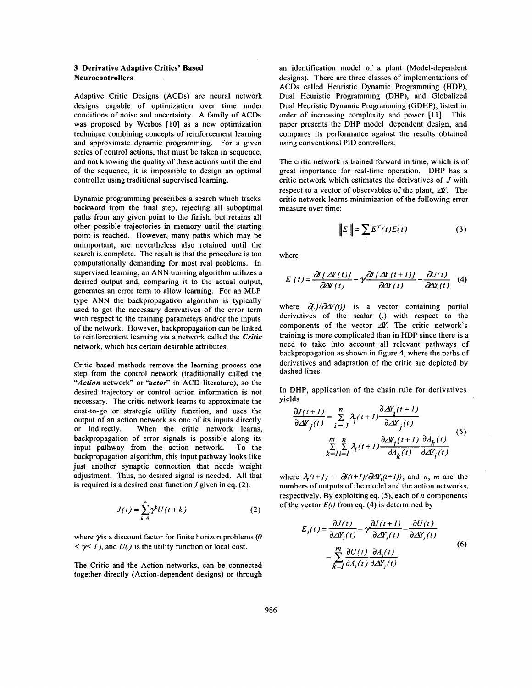## **3 Derivative Adaptive Critics' Based Neurocontrollers**

Adaptive Critic Designs (ACDs) are neural network designs capable of optimization over time under conditions of noise and uncertainty. A family of ACDs was proposed by Werbos [IO] as a new optimization technique combining concepts of reinforcement learning and approximate dynamic programming. For a given series of control actions, that must be taken in sequence, and not knowing the quality of these actions until the end of the sequence, it is impossible to design an optimal controller using traditional supervised learning.

Dynamic programming prescribes a search which tracks backward from the final step, rejecting all suboptimal paths from any given point to the finish, but retains all other possible trajectories in memory until the starting point is reached. However, many paths which may be unimportant, are nevertheless also retained until the search is complete. The result is that the procedure is too computationally demanding for most real problems. In supervised learning, an ANN training algorithm utilizes a desired output and, comparing it to the actual output, generates an error term to allow learning. For an MLP type ANN the backpropagation algorithm is typically used to get the necessary derivatives of the error term with respect to the training parameters and/or the inputs of the network. However, backpropagation can be linked to reinforcement learning via a network called the Critic network, which has certain desirable attributes.

Critic based methods remove the learning process one step from the control network (traditionally called the *"Acfion* network" or *"uctor"* in ACD literature), so the desired trajectory or control action information is not necessary. The critic network learns to approximate the cost-to-go or strategic utility function, and uses the output of an action network as one of its inputs directly or indirectly. When the critic network learns, backpropagation of error signals is possible along its input pathway from the action network. To the backpropagation algorithm, this input pathway looks like just another synaptic connection that needs weight adjustment. Thus, no desired signal is needed. All that is required is a desired cost function *J* given in eq. (2).

$$
J(t) = \sum_{k=0}^{\infty} \gamma^k U(t+k)
$$
 (2)

where **3/is** a discount factor for finite horizon problems *(0*   $\leq \gamma \leq 1$ , and  $U(t)$  is the utility function or local cost.

The Critic and the Action networks, can be connected together directly (Action-dependent designs) or through an identification model of a plant (Model-dependent designs). There are three classes of implementations of ACDs called Heuristic Dynamic Programming (HDP), Dual Heuristic Programming (DHP), and Globalized Dual Heuristic Dynamic Programming (GDHP), listed in order of increasing complexity and power **[ll].** This paper presents the DHP model dependent design, and compares its performance against the results obtained using conventional PID controllers.

The critic network is trained forward in time, which is of great importance for real-time operation. DHP has a critic network which estimates the derivatives of *J* with respect to a vector of observables of the plant, *AY.* The critic network learns minimization of the following error measure over time:

$$
\|E\| = \sum_{t} E^{T}(t)E(t)
$$
 (3)

where

$$
E(t) = \frac{\partial I(\Delta Y(t))}{\partial \Delta Y(t)} - \gamma \frac{\partial I(\Delta Y(t+1))}{\partial \Delta Y(t)} - \frac{\partial U(t)}{\partial \Delta Y(t)} \quad (4)
$$

where  $\partial$ .)/ $\partial$ *M* $(t)$  is a vector containing partial derivatives of the scalar (.) with respect to the components of the vector  $\Delta Y$ . The critic network's training is more complicated than in HDP since there is a need to take into account all relevant pathways of backpropagation as shown in figure **4,** where the paths of derivatives and adaptation of the critic are depicted by dashed lines.

In DHP, application of the chain rule for derivatives yields

$$
\frac{\partial J(t+1)}{\partial \Delta Y_j(t)} = \sum_{i=1}^{n} \lambda_i(t+1) \frac{\partial \Delta Y_i(t+1)}{\partial \Delta Y_j(t)}
$$
\n
$$
\sum_{k=1}^{m} \sum_{i=1}^{n} \lambda_i(t+1) \frac{\partial \Delta Y_i(t+1)}{\partial \Delta Y_i(t)} \frac{\partial A_k(t)}{\partial \Delta Y_i(t)}
$$
\n(5)

where  $\lambda_i(t+1) = \partial f(t+1)/\partial f(t+1)$ , and *n*, *m* are the numbers of outputs of the model and the action networks, respectively. By exploiting eq. *(S),* each of *n* components of the vector  $E(t)$  from eq. (4) is determined by

$$
E_j(t) = \frac{\partial J(t)}{\partial \Delta Y_j(t)} - \gamma \frac{\partial J(t+1)}{\partial \Delta Y_j(t)} - \frac{\partial U(t)}{\partial \Delta Y_j(t)}
$$
  

$$
- \sum_{k=1}^{m} \frac{\partial U(t)}{\partial A_k(t)} \frac{\partial A_k(t)}{\partial \Delta Y_j(t)}
$$
(6)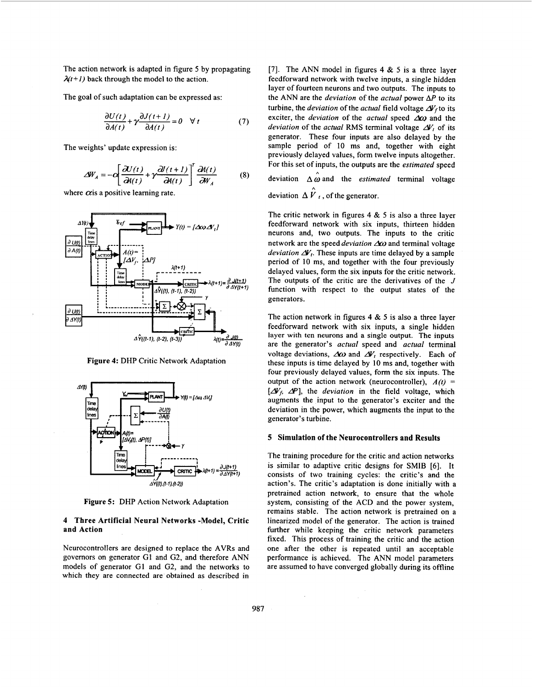The action network is adapted in figure 5 by propagating  $\lambda(t+1)$  back through the model to the action.

The goal of such adaptation can be expressed as:

$$
\frac{\partial U(t)}{\partial A(t)} + \gamma \frac{\partial J(t+1)}{\partial A(t)} = 0 \quad \forall \ t \tag{7}
$$

The weights' update expression is:

$$
\Delta W_A = -\phi \left[ \frac{\partial U(t)}{\partial A(t)} + \gamma \frac{\partial I(t+1)}{\partial A(t)} \right]^T \frac{\partial A(t)}{\partial W_A} \tag{8}
$$

where  $\alpha$  is a positive learning rate.



**Figure 4:** DHP Critic Network Adaptation



**Figure 5:** DHP Action Network Adaptation

#### **4 Three Artificial Neural Networks -Model, Critic and Action**

Neurocontrollers are designed to replace the AVRs and govemors on generator G1 and G2, and therefore ANN models of generator GI and G2, and the networks to which they are connected are obtained as described in

[7]. The ANN model in figures  $4 \& 5$  is a three layer feedforward network with twelve inputs, a single hidden layer of fourteen neurons and two outputs. The inputs to the ANN are the *deviation* of the *actual* power  $\Delta P$  to its turbine, the *deviation* of the *actual* field voltage  $\Delta V_f$  to its exciter, the *deviation* of the *actual* speed  $\Delta \omega$  and the *deviation* of the *actual* RMS terminal voltage  $\Delta V_t$  of its generator. These four inputs are also delayed by the sample period of 10 ms and, together with eight previously delayed values, form twelve inputs altogether. For this set of inputs, the outputs are the *estimated* speed

deviation  $\Delta \hat{\omega}$  and the *estimated* terminal voltage deviation  $\Delta \hat{V}$ , of the generator.

The critic network in figures  $4 \& 5$  is also a three layer feedforward network with six inputs, thirteen hidden neurons and, two outputs. The inputs to the critic network are the speed *deviation*  $\Delta \omega$  and terminal voltage *deviation*  $\Delta V_t$ . These inputs are time delayed by a sample period of 10 ms, and together with the four previously delayed values, form the six inputs for the critic network. The outputs of the critic are the derivatives of the *J*  function with respect to the output states of the generators.

The action network in figures 4 & *5* is also a three layer feedforward network with six inputs, a single hidden layer with ten neurons and a single output. The inputs are the generator's *actual* speed and *actual* terminal voltage deviations,  $\Delta \omega$  and  $\Delta V$ , respectively. Each of these inputs is time delayed by **10** ms and, together with four previously delayed values, form the six inputs. The output of the action network (neurocontroller),  $A(t)$  =  $[\Delta V_f, \Delta P]$ , the *deviation* in the field voltage, which augments the input to the generator's exciter and the deviation in the power, which augments the input to the generator's turbine.

#### **5 Simulation of the Neurocontrollers and Results**

The training procedure for the critic and action networks is similar to adaptive critic designs for SMIB [6]. It consists of two training cycles: the critic's and the action's. The critic's adaptation is done initially with a pretrained action network, to ensure that the whole system, consisting of the ACD and the power system, remains stable. The action network is pretrained on a linearized model of the generator. The action is trained further while keeping the critic network parameters fixed. This process of training the critic and the action one after the other is repeated until an acceptable performance is achieved. The ANN model parameters are assumed to have converged globally during its offline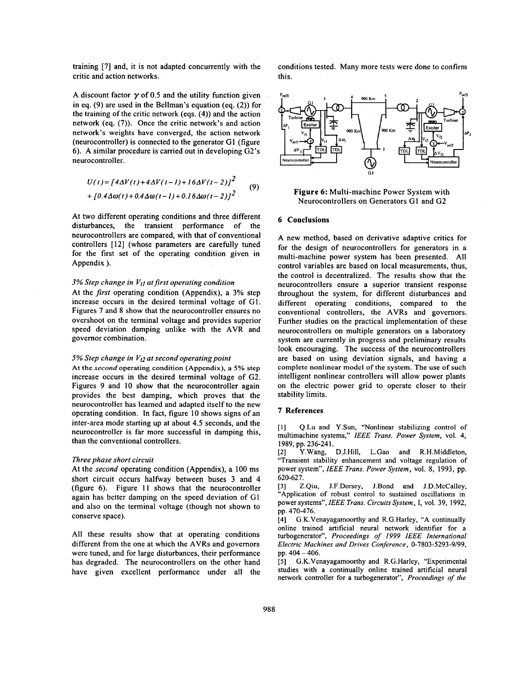training [7] and, it is not adapted concurrently with the critic and action networks.

A discount factor  $\gamma$  of 0.5 and the utility function given in eq. (9) are used in the Bellman's equation (eq. (2)) for the training of the critic network (eqs. **(4))** and the action network (eq. (7)). Once the critic network's and action network's weights have converged, the action network (neurocontroller) is connected to the generator G1 (figure 6). A similar procedure is carried out in developing G2's neurocontroller.

$$
U(t) = [4\Delta V(t) + 4\Delta V(t-1) + 16\Delta V(t-2)]^{2}
$$
  
+ 
$$
[0.4\Delta\omega(t) + 0.4\Delta\omega(t-1) + 0.16\Delta\omega(t-2)]^{2}
$$
 (9)

At two different operating conditions and three different disturbances, the transient performance of the neurocontrollers are compared, with that of conventional controllers [12] (whose parameters are carefully tuned for the first set of the operating condition given in Appendix ).

#### *3% Step change in Vtl atfirst operating condition*

At the *first* operating condition (Appendix), a 3% step increase occurs in the desired terminal voltage of G1. Figures 7 and 8 show that the neurocontroller ensures no overshoot on the terminal voltage and provides superior speed deviation damping unlike with the AVR and governor combination.

#### *5% Step change in Vt2 at second operatingpoint*

At the *second* operating condition (Appendix), a 5% step increase occurs in the desired terminal voltage of G2. Figures 9 and 10 show that the neurocontroller again provides the best damping, which proves that the neurocontroller has leamed and adapted itself to the new operating condition. In fact, figure 10 shows signs of an inter-area mode starting up at about **4.5** seconds, and the neurocontroller is far more successful in damping this, than the conventional controllers.

#### *Three phase short circuit*

At the *second* operating condition (Appendix), a 100 ms short circuit occurs halfway between buses 3 and **4**  (figure 6). Figure 11 shows that the neurocontroller again has better damping on the speed deviation of G1 and also on the terminal voltage (though not shown to conserve space).

All these results show that at operating conditions different from the one at which the AVRs and governors were tuned, and for large disturbances, their performance has degraded. The neurocontrollers on the other hand have given excellent performance under all the conditions tested. Many more tests were done to confirm this.





#### **6 Conclusions**

A new method, based on derivative adaptive critics for for the design of neurocontrollers for generators in a multi-machine power system has been presented. All control variables are based on local measurements, thus, the control is decentralized. The results show that the neurocontrollers ensure a superior transient response throughout the system, for different disturbances and different operating conditions, compared to the conventional controllers, the AVRs and governors. Further studies on the practical implementation of these neurocontrollers on multiple generators on a laboratory system are currently in progress and preliminary results look encouraging. The success of the neurocontrollers are based on using deviation signals, and having a complete nonlinear model of the system. The use of such intelligent nonlinear controllers will allow power plants on the electric power grid to operate closer to their stability limits.

#### **7 References**

**[l]** Q.Lu and Y.Sun, "Nonlinear stabilizing control of multimachine systems," *IEEE Trans. Power System,* vol. 4, 1989, pp. 236-241.

[2] Y.Wang, D.J.Hill, L.Gao and R.H.Middleton, "Transient stability enhancement and voltage regulation of power system", *IEEE Trans. Power System,* vol. 8, 1993, pp. 620-627.

[3] Z.Qiu, J.F.Dorsey, J.Bond and J.D.McCalley, "Application of robust control to sustained oscillations in power systems", *IEEE Trans. CircuitsSystem,* I, vol. 39, 1992, pp. 470-476.

**[4]** G.K.Venayagamoorthy and R.G.Harley, "A continually online trained artificial neural network identifier for a turbogenerator". *Proceedings of* 1999 *IEEE International Electric Machines and Drives Conference,* 0-7803-5293-9199, pp. 404 - 406.

*[5]* G.K.Venayagamoorthy and R.G.Harley, "Experimental studies with a continually online trained artificial neural network controller for a turbogenerator", *Proceedings of the*